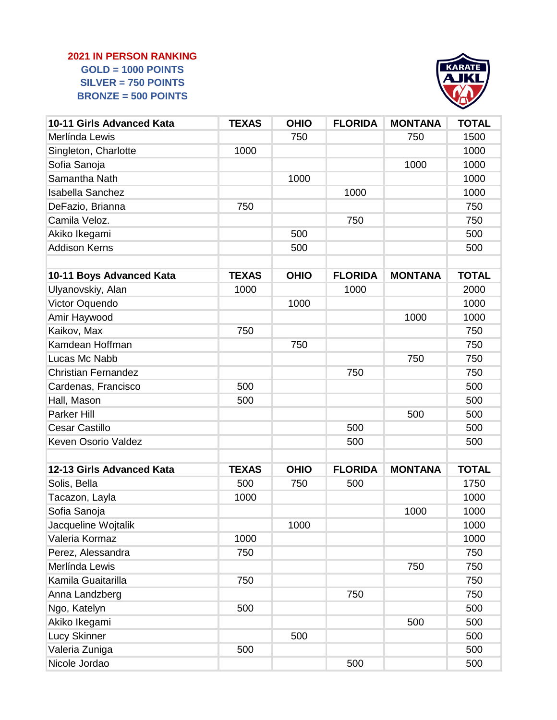## **2021 IN PERSON RANKING GOLD = 1000 POINTS SILVER = 750 POINTS BRONZE = 500 POINTS**



| 10-11 Girls Advanced Kata  | <b>TEXAS</b> | <b>OHIO</b> | <b>FLORIDA</b> | <b>MONTANA</b> | <b>TOTAL</b> |
|----------------------------|--------------|-------------|----------------|----------------|--------------|
| Merlínda Lewis             |              | 750         |                | 750            | 1500         |
| Singleton, Charlotte       | 1000         |             |                |                | 1000         |
| Sofia Sanoja               |              |             |                | 1000           | 1000         |
| Samantha Nath              |              | 1000        |                |                | 1000         |
| <b>Isabella Sanchez</b>    |              |             | 1000           |                | 1000         |
| DeFazio, Brianna           | 750          |             |                |                | 750          |
| Camila Veloz.              |              |             | 750            |                | 750          |
| Akiko Ikegami              |              | 500         |                |                | 500          |
| <b>Addison Kerns</b>       |              | 500         |                |                | 500          |
| 10-11 Boys Advanced Kata   | <b>TEXAS</b> | <b>OHIO</b> | <b>FLORIDA</b> | <b>MONTANA</b> | <b>TOTAL</b> |
| Ulyanovskiy, Alan          | 1000         |             | 1000           |                | 2000         |
| Victor Oquendo             |              | 1000        |                |                | 1000         |
| Amir Haywood               |              |             |                | 1000           | 1000         |
| Kaikov, Max                | 750          |             |                |                | 750          |
| Kamdean Hoffman            |              | 750         |                |                | 750          |
| Lucas Mc Nabb              |              |             |                | 750            | 750          |
| <b>Christian Fernandez</b> |              |             | 750            |                | 750          |
| Cardenas, Francisco        | 500          |             |                |                | 500          |
| Hall, Mason                | 500          |             |                |                | 500          |
| Parker Hill                |              |             |                | 500            | 500          |
| <b>Cesar Castillo</b>      |              |             | 500            |                | 500          |
| <b>Keven Osorio Valdez</b> |              |             | 500            |                | 500          |
|                            |              |             |                |                |              |
| 12-13 Girls Advanced Kata  | <b>TEXAS</b> | <b>OHIO</b> | <b>FLORIDA</b> | <b>MONTANA</b> | <b>TOTAL</b> |
| Solis, Bella               | 500          | 750         | 500            |                | 1750         |
| Tacazon, Layla             | 1000         |             |                |                | 1000         |
| Sofia Sanoja               |              |             |                | 1000           | 1000         |
| Jacqueline Wojtalik        |              | 1000        |                |                | 1000         |
| Valeria Kormaz             | 1000         |             |                |                | 1000         |
| Perez, Alessandra          | 750          |             |                |                | 750          |
| Merlínda Lewis             |              |             |                | 750            | 750          |
| Kamila Guaitarilla         | 750          |             |                |                | 750          |
| Anna Landzberg             |              |             | 750            |                | 750          |
| Ngo, Katelyn               | 500          |             |                |                | 500          |
| Akiko Ikegami              |              |             |                | 500            | 500          |
| Lucy Skinner               |              | 500         |                |                | 500          |
| Valeria Zuniga             | 500          |             |                |                | 500          |
| Nicole Jordao              |              |             | 500            |                | 500          |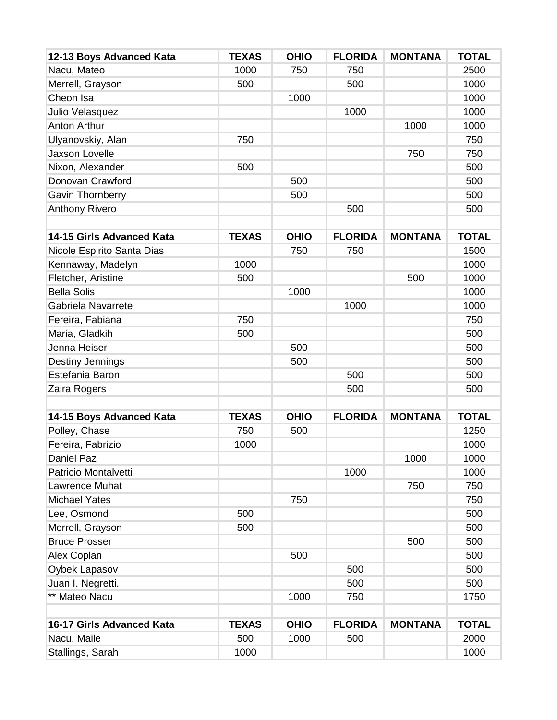| 1000<br>750<br>750<br>2500<br>Nacu, Mateo<br>Merrell, Grayson<br>500<br>500<br>1000<br>Cheon Isa<br>1000<br>1000<br>1000<br>1000<br>Julio Velasquez<br>1000<br><b>Anton Arthur</b><br>1000<br>750<br>750<br>Ulyanovskiy, Alan<br><b>Jaxson Lovelle</b><br>750<br>750<br>500<br>Nixon, Alexander<br>500<br>Donovan Crawford<br>500<br>500<br><b>Gavin Thornberry</b><br>500<br>500<br><b>Anthony Rivero</b><br>500<br>500<br><b>FLORIDA</b><br>14-15 Girls Advanced Kata<br><b>TEXAS</b><br><b>OHIO</b><br><b>MONTANA</b><br><b>TOTAL</b><br>1500<br>Nicole Espirito Santa Dias<br>750<br>750<br>Kennaway, Madelyn<br>1000<br>1000<br>Fletcher, Aristine<br>500<br>1000<br>500<br><b>Bella Solis</b><br>1000<br>1000<br>1000<br>1000<br>Gabriela Navarrete<br>750<br>750<br>Fereira, Fabiana<br>500<br>Maria, Gladkih<br>500<br>Jenna Heiser<br>500<br>500<br>500<br>Destiny Jennings<br>500<br>500<br>Estefania Baron<br>500<br>500<br>500<br>Zaira Rogers<br><b>TEXAS</b><br><b>OHIO</b><br><b>FLORIDA</b><br><b>MONTANA</b><br><b>TOTAL</b><br>14-15 Boys Advanced Kata<br>Polley, Chase<br>750<br>1250<br>500<br>Fereira, Fabrizio<br>1000<br>1000<br>Daniel Paz<br>1000<br>1000<br>1000<br>Patricio Montalvetti<br>1000<br>750<br>750<br>Lawrence Muhat<br>750<br>750<br><b>Michael Yates</b> | 12-13 Boys Advanced Kata | <b>TEXAS</b> | <b>OHIO</b> | <b>FLORIDA</b> | <b>MONTANA</b> | <b>TOTAL</b> |
|---------------------------------------------------------------------------------------------------------------------------------------------------------------------------------------------------------------------------------------------------------------------------------------------------------------------------------------------------------------------------------------------------------------------------------------------------------------------------------------------------------------------------------------------------------------------------------------------------------------------------------------------------------------------------------------------------------------------------------------------------------------------------------------------------------------------------------------------------------------------------------------------------------------------------------------------------------------------------------------------------------------------------------------------------------------------------------------------------------------------------------------------------------------------------------------------------------------------------------------------------------------------------------------------------|--------------------------|--------------|-------------|----------------|----------------|--------------|
|                                                                                                                                                                                                                                                                                                                                                                                                                                                                                                                                                                                                                                                                                                                                                                                                                                                                                                                                                                                                                                                                                                                                                                                                                                                                                                   |                          |              |             |                |                |              |
|                                                                                                                                                                                                                                                                                                                                                                                                                                                                                                                                                                                                                                                                                                                                                                                                                                                                                                                                                                                                                                                                                                                                                                                                                                                                                                   |                          |              |             |                |                |              |
|                                                                                                                                                                                                                                                                                                                                                                                                                                                                                                                                                                                                                                                                                                                                                                                                                                                                                                                                                                                                                                                                                                                                                                                                                                                                                                   |                          |              |             |                |                |              |
|                                                                                                                                                                                                                                                                                                                                                                                                                                                                                                                                                                                                                                                                                                                                                                                                                                                                                                                                                                                                                                                                                                                                                                                                                                                                                                   |                          |              |             |                |                |              |
|                                                                                                                                                                                                                                                                                                                                                                                                                                                                                                                                                                                                                                                                                                                                                                                                                                                                                                                                                                                                                                                                                                                                                                                                                                                                                                   |                          |              |             |                |                |              |
|                                                                                                                                                                                                                                                                                                                                                                                                                                                                                                                                                                                                                                                                                                                                                                                                                                                                                                                                                                                                                                                                                                                                                                                                                                                                                                   |                          |              |             |                |                |              |
|                                                                                                                                                                                                                                                                                                                                                                                                                                                                                                                                                                                                                                                                                                                                                                                                                                                                                                                                                                                                                                                                                                                                                                                                                                                                                                   |                          |              |             |                |                |              |
|                                                                                                                                                                                                                                                                                                                                                                                                                                                                                                                                                                                                                                                                                                                                                                                                                                                                                                                                                                                                                                                                                                                                                                                                                                                                                                   |                          |              |             |                |                |              |
|                                                                                                                                                                                                                                                                                                                                                                                                                                                                                                                                                                                                                                                                                                                                                                                                                                                                                                                                                                                                                                                                                                                                                                                                                                                                                                   |                          |              |             |                |                |              |
|                                                                                                                                                                                                                                                                                                                                                                                                                                                                                                                                                                                                                                                                                                                                                                                                                                                                                                                                                                                                                                                                                                                                                                                                                                                                                                   |                          |              |             |                |                |              |
|                                                                                                                                                                                                                                                                                                                                                                                                                                                                                                                                                                                                                                                                                                                                                                                                                                                                                                                                                                                                                                                                                                                                                                                                                                                                                                   |                          |              |             |                |                |              |
|                                                                                                                                                                                                                                                                                                                                                                                                                                                                                                                                                                                                                                                                                                                                                                                                                                                                                                                                                                                                                                                                                                                                                                                                                                                                                                   |                          |              |             |                |                |              |
|                                                                                                                                                                                                                                                                                                                                                                                                                                                                                                                                                                                                                                                                                                                                                                                                                                                                                                                                                                                                                                                                                                                                                                                                                                                                                                   |                          |              |             |                |                |              |
|                                                                                                                                                                                                                                                                                                                                                                                                                                                                                                                                                                                                                                                                                                                                                                                                                                                                                                                                                                                                                                                                                                                                                                                                                                                                                                   |                          |              |             |                |                |              |
|                                                                                                                                                                                                                                                                                                                                                                                                                                                                                                                                                                                                                                                                                                                                                                                                                                                                                                                                                                                                                                                                                                                                                                                                                                                                                                   |                          |              |             |                |                |              |
|                                                                                                                                                                                                                                                                                                                                                                                                                                                                                                                                                                                                                                                                                                                                                                                                                                                                                                                                                                                                                                                                                                                                                                                                                                                                                                   |                          |              |             |                |                |              |
|                                                                                                                                                                                                                                                                                                                                                                                                                                                                                                                                                                                                                                                                                                                                                                                                                                                                                                                                                                                                                                                                                                                                                                                                                                                                                                   |                          |              |             |                |                |              |
|                                                                                                                                                                                                                                                                                                                                                                                                                                                                                                                                                                                                                                                                                                                                                                                                                                                                                                                                                                                                                                                                                                                                                                                                                                                                                                   |                          |              |             |                |                |              |
|                                                                                                                                                                                                                                                                                                                                                                                                                                                                                                                                                                                                                                                                                                                                                                                                                                                                                                                                                                                                                                                                                                                                                                                                                                                                                                   |                          |              |             |                |                |              |
|                                                                                                                                                                                                                                                                                                                                                                                                                                                                                                                                                                                                                                                                                                                                                                                                                                                                                                                                                                                                                                                                                                                                                                                                                                                                                                   |                          |              |             |                |                |              |
|                                                                                                                                                                                                                                                                                                                                                                                                                                                                                                                                                                                                                                                                                                                                                                                                                                                                                                                                                                                                                                                                                                                                                                                                                                                                                                   |                          |              |             |                |                |              |
|                                                                                                                                                                                                                                                                                                                                                                                                                                                                                                                                                                                                                                                                                                                                                                                                                                                                                                                                                                                                                                                                                                                                                                                                                                                                                                   |                          |              |             |                |                |              |
|                                                                                                                                                                                                                                                                                                                                                                                                                                                                                                                                                                                                                                                                                                                                                                                                                                                                                                                                                                                                                                                                                                                                                                                                                                                                                                   |                          |              |             |                |                |              |
|                                                                                                                                                                                                                                                                                                                                                                                                                                                                                                                                                                                                                                                                                                                                                                                                                                                                                                                                                                                                                                                                                                                                                                                                                                                                                                   |                          |              |             |                |                |              |
|                                                                                                                                                                                                                                                                                                                                                                                                                                                                                                                                                                                                                                                                                                                                                                                                                                                                                                                                                                                                                                                                                                                                                                                                                                                                                                   |                          |              |             |                |                |              |
|                                                                                                                                                                                                                                                                                                                                                                                                                                                                                                                                                                                                                                                                                                                                                                                                                                                                                                                                                                                                                                                                                                                                                                                                                                                                                                   |                          |              |             |                |                |              |
|                                                                                                                                                                                                                                                                                                                                                                                                                                                                                                                                                                                                                                                                                                                                                                                                                                                                                                                                                                                                                                                                                                                                                                                                                                                                                                   |                          |              |             |                |                |              |
|                                                                                                                                                                                                                                                                                                                                                                                                                                                                                                                                                                                                                                                                                                                                                                                                                                                                                                                                                                                                                                                                                                                                                                                                                                                                                                   |                          |              |             |                |                |              |
|                                                                                                                                                                                                                                                                                                                                                                                                                                                                                                                                                                                                                                                                                                                                                                                                                                                                                                                                                                                                                                                                                                                                                                                                                                                                                                   |                          |              |             |                |                |              |
|                                                                                                                                                                                                                                                                                                                                                                                                                                                                                                                                                                                                                                                                                                                                                                                                                                                                                                                                                                                                                                                                                                                                                                                                                                                                                                   |                          |              |             |                |                |              |
| 500<br>500<br>Lee, Osmond                                                                                                                                                                                                                                                                                                                                                                                                                                                                                                                                                                                                                                                                                                                                                                                                                                                                                                                                                                                                                                                                                                                                                                                                                                                                         |                          |              |             |                |                |              |
| Merrell, Grayson<br>500<br>500                                                                                                                                                                                                                                                                                                                                                                                                                                                                                                                                                                                                                                                                                                                                                                                                                                                                                                                                                                                                                                                                                                                                                                                                                                                                    |                          |              |             |                |                |              |
| <b>Bruce Prosser</b><br>500<br>500                                                                                                                                                                                                                                                                                                                                                                                                                                                                                                                                                                                                                                                                                                                                                                                                                                                                                                                                                                                                                                                                                                                                                                                                                                                                |                          |              |             |                |                |              |
| 500<br>500<br>Alex Coplan                                                                                                                                                                                                                                                                                                                                                                                                                                                                                                                                                                                                                                                                                                                                                                                                                                                                                                                                                                                                                                                                                                                                                                                                                                                                         |                          |              |             |                |                |              |
| 500<br>500<br>Oybek Lapasov                                                                                                                                                                                                                                                                                                                                                                                                                                                                                                                                                                                                                                                                                                                                                                                                                                                                                                                                                                                                                                                                                                                                                                                                                                                                       |                          |              |             |                |                |              |
| Juan I. Negretti.<br>500<br>500                                                                                                                                                                                                                                                                                                                                                                                                                                                                                                                                                                                                                                                                                                                                                                                                                                                                                                                                                                                                                                                                                                                                                                                                                                                                   |                          |              |             |                |                |              |
| ** Mateo Nacu<br>1000<br>1750<br>750                                                                                                                                                                                                                                                                                                                                                                                                                                                                                                                                                                                                                                                                                                                                                                                                                                                                                                                                                                                                                                                                                                                                                                                                                                                              |                          |              |             |                |                |              |
| <b>FLORIDA</b><br>16-17 Girls Advanced Kata<br><b>OHIO</b><br><b>MONTANA</b><br><b>TOTAL</b><br><b>TEXAS</b>                                                                                                                                                                                                                                                                                                                                                                                                                                                                                                                                                                                                                                                                                                                                                                                                                                                                                                                                                                                                                                                                                                                                                                                      |                          |              |             |                |                |              |
| Nacu, Maile<br>2000<br>500<br>1000<br>500                                                                                                                                                                                                                                                                                                                                                                                                                                                                                                                                                                                                                                                                                                                                                                                                                                                                                                                                                                                                                                                                                                                                                                                                                                                         |                          |              |             |                |                |              |
| 1000<br>Stallings, Sarah<br>1000                                                                                                                                                                                                                                                                                                                                                                                                                                                                                                                                                                                                                                                                                                                                                                                                                                                                                                                                                                                                                                                                                                                                                                                                                                                                  |                          |              |             |                |                |              |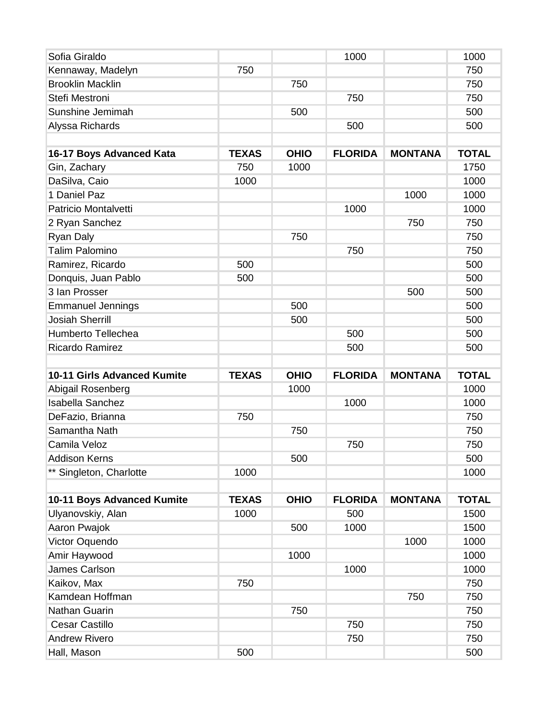| Sofia Giraldo                      |              |             | 1000           |                | 1000         |
|------------------------------------|--------------|-------------|----------------|----------------|--------------|
| Kennaway, Madelyn                  | 750          |             |                |                | 750          |
| <b>Brooklin Macklin</b>            |              | 750         |                |                | 750          |
| Stefi Mestroni                     |              |             | 750            |                | 750          |
| Sunshine Jemimah                   |              | 500         |                |                | 500          |
| Alyssa Richards                    |              |             | 500            |                | 500          |
|                                    |              |             |                |                |              |
| 16-17 Boys Advanced Kata           | <b>TEXAS</b> | <b>OHIO</b> | <b>FLORIDA</b> | <b>MONTANA</b> | <b>TOTAL</b> |
| Gin, Zachary                       | 750          | 1000        |                |                | 1750         |
| DaSilva, Caio                      | 1000         |             |                |                | 1000         |
| 1 Daniel Paz                       |              |             |                | 1000           | 1000         |
| Patricio Montalvetti               |              |             | 1000           |                | 1000         |
| 2 Ryan Sanchez                     |              |             |                | 750            | 750          |
| <b>Ryan Daly</b>                   |              | 750         |                |                | 750          |
| <b>Talim Palomino</b>              |              |             | 750            |                | 750          |
| Ramirez, Ricardo                   | 500          |             |                |                | 500          |
| Donquis, Juan Pablo                | 500          |             |                |                | 500          |
| 3 Ian Prosser                      |              |             |                | 500            | 500          |
| <b>Emmanuel Jennings</b>           |              | 500         |                |                | 500          |
| <b>Josiah Sherrill</b>             |              | 500         |                |                | 500          |
| <b>Humberto Tellechea</b>          |              |             | 500            |                | 500          |
| <b>Ricardo Ramirez</b>             |              |             | 500            |                | 500          |
|                                    |              |             |                |                |              |
|                                    |              |             |                |                |              |
| <b>10-11 Girls Advanced Kumite</b> | <b>TEXAS</b> | <b>OHIO</b> | <b>FLORIDA</b> | <b>MONTANA</b> | <b>TOTAL</b> |
| Abigail Rosenberg                  |              | 1000        |                |                | 1000         |
| <b>Isabella Sanchez</b>            |              |             | 1000           |                | 1000         |
| DeFazio, Brianna                   | 750          |             |                |                | 750          |
| Samantha Nath                      |              | 750         |                |                | 750          |
| Camila Veloz                       |              |             | 750            |                | 750          |
| <b>Addison Kerns</b>               |              | 500         |                |                | 500          |
| ** Singleton, Charlotte            | 1000         |             |                |                | 1000         |
|                                    |              |             |                |                |              |
| 10-11 Boys Advanced Kumite         | <b>TEXAS</b> | <b>OHIO</b> | <b>FLORIDA</b> | <b>MONTANA</b> | <b>TOTAL</b> |
| Ulyanovskiy, Alan                  | 1000         |             | 500            |                | 1500         |
| Aaron Pwajok                       |              | 500         | 1000           |                | 1500         |
| Victor Oquendo                     |              |             |                | 1000           | 1000         |
| Amir Haywood                       |              | 1000        |                |                | 1000         |
| <b>James Carlson</b>               |              |             | 1000           |                | 1000         |
| Kaikov, Max                        | 750          |             |                |                | 750          |
| Kamdean Hoffman                    |              |             |                | 750            | 750          |
| Nathan Guarin                      |              | 750         |                |                | 750          |
| <b>Cesar Castillo</b>              |              |             | 750            |                | 750          |
| <b>Andrew Rivero</b>               |              |             | 750            |                | 750          |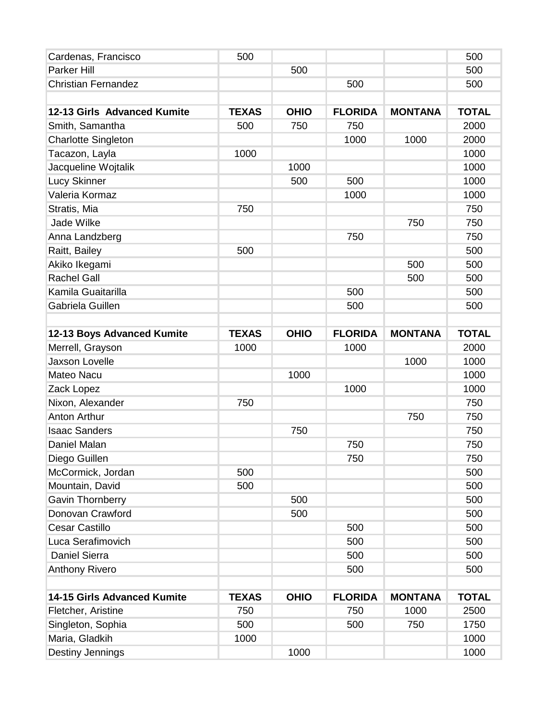| Cardenas, Francisco                | 500          |             |                |                | 500          |
|------------------------------------|--------------|-------------|----------------|----------------|--------------|
| <b>Parker Hill</b>                 |              | 500         |                |                | 500          |
| <b>Christian Fernandez</b>         |              |             | 500            |                | 500          |
|                                    |              |             |                |                |              |
| 12-13 Girls Advanced Kumite        | <b>TEXAS</b> | <b>OHIO</b> | <b>FLORIDA</b> | <b>MONTANA</b> | <b>TOTAL</b> |
| Smith, Samantha                    | 500          | 750         | 750            |                | 2000         |
| <b>Charlotte Singleton</b>         |              |             | 1000           | 1000           | 2000         |
| Tacazon, Layla                     | 1000         |             |                |                | 1000         |
| Jacqueline Wojtalik                |              | 1000        |                |                | 1000         |
| <b>Lucy Skinner</b>                |              | 500         | 500            |                | 1000         |
| Valeria Kormaz                     |              |             | 1000           |                | 1000         |
| Stratis, Mia                       | 750          |             |                |                | 750          |
| Jade Wilke                         |              |             |                | 750            | 750          |
| Anna Landzberg                     |              |             | 750            |                | 750          |
| Raitt, Bailey                      | 500          |             |                |                | 500          |
| Akiko Ikegami                      |              |             |                | 500            | 500          |
| <b>Rachel Gall</b>                 |              |             |                | 500            | 500          |
| Kamila Guaitarilla                 |              |             | 500            |                | 500          |
| Gabriela Guillen                   |              |             | 500            |                | 500          |
|                                    |              |             |                |                |              |
| 12-13 Boys Advanced Kumite         | <b>TEXAS</b> | <b>OHIO</b> | <b>FLORIDA</b> | <b>MONTANA</b> | <b>TOTAL</b> |
| Merrell, Grayson                   | 1000         |             | 1000           |                | 2000         |
| <b>Jaxson Lovelle</b>              |              |             |                | 1000           | 1000         |
| <b>Mateo Nacu</b>                  |              | 1000        |                |                | 1000         |
| Zack Lopez                         |              |             | 1000           |                | 1000         |
| Nixon, Alexander                   | 750          |             |                |                | 750          |
| <b>Anton Arthur</b>                |              |             |                | 750            | 750          |
| <b>Isaac Sanders</b>               |              | 750         |                |                | 750          |
| Daniel Malan                       |              |             | 750            |                | 750          |
| Diego Guillen                      |              |             | 750            |                | 750          |
| McCormick, Jordan                  | 500          |             |                |                | 500          |
| Mountain, David                    | 500          |             |                |                | 500          |
| <b>Gavin Thornberry</b>            |              | 500         |                |                | 500          |
| Donovan Crawford                   |              | 500         |                |                | 500          |
| Cesar Castillo                     |              |             | 500            |                | 500          |
| Luca Serafimovich                  |              |             | 500            |                | 500          |
| <b>Daniel Sierra</b>               |              |             | 500            |                | 500          |
| <b>Anthony Rivero</b>              |              |             | 500            |                | 500          |
| <b>14-15 Girls Advanced Kumite</b> | <b>TEXAS</b> | <b>OHIO</b> | <b>FLORIDA</b> | <b>MONTANA</b> | <b>TOTAL</b> |
| Fletcher, Aristine                 | 750          |             | 750            | 1000           | 2500         |
| Singleton, Sophia                  | 500          |             | 500            | 750            | 1750         |
| Maria, Gladkih                     | 1000         |             |                |                | 1000         |
| Destiny Jennings                   |              | 1000        |                |                | 1000         |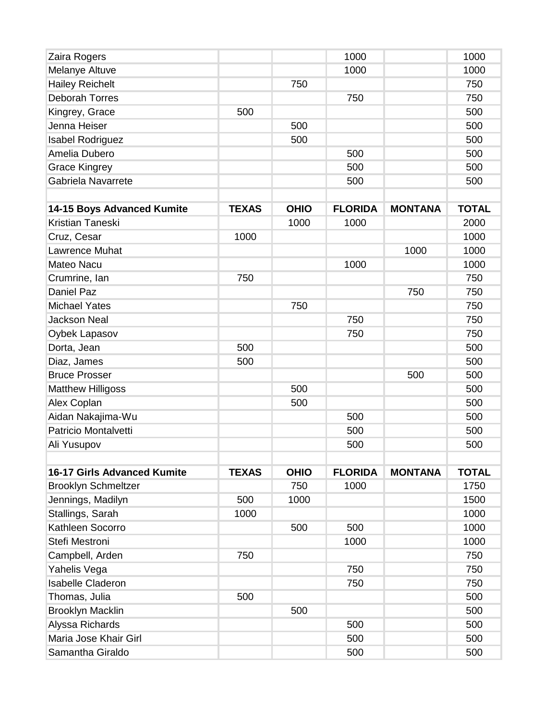| Zaira Rogers                       |              |             | 1000           |                | 1000         |
|------------------------------------|--------------|-------------|----------------|----------------|--------------|
| Melanye Altuve                     |              |             | 1000           |                | 1000         |
| <b>Hailey Reichelt</b>             |              | 750         |                |                | 750          |
| <b>Deborah Torres</b>              |              |             | 750            |                | 750          |
| Kingrey, Grace                     | 500          |             |                |                | 500          |
| Jenna Heiser                       |              | 500         |                |                | 500          |
| <b>Isabel Rodriguez</b>            |              | 500         |                |                | 500          |
| Amelia Dubero                      |              |             | 500            |                | 500          |
| <b>Grace Kingrey</b>               |              |             | 500            |                | 500          |
| Gabriela Navarrete                 |              |             | 500            |                | 500          |
|                                    |              |             |                |                |              |
| 14-15 Boys Advanced Kumite         | <b>TEXAS</b> | <b>OHIO</b> | <b>FLORIDA</b> | <b>MONTANA</b> | <b>TOTAL</b> |
| Kristian Taneski                   |              | 1000        | 1000           |                | 2000         |
| Cruz, Cesar                        | 1000         |             |                |                | 1000         |
| <b>Lawrence Muhat</b>              |              |             |                | 1000           | 1000         |
| <b>Mateo Nacu</b>                  |              |             | 1000           |                | 1000         |
| Crumrine, Ian                      | 750          |             |                |                | 750          |
| <b>Daniel Paz</b>                  |              |             |                | 750            | 750          |
| <b>Michael Yates</b>               |              | 750         |                |                | 750          |
| <b>Jackson Neal</b>                |              |             | 750            |                | 750          |
| Oybek Lapasov                      |              |             | 750            |                | 750          |
| Dorta, Jean                        | 500          |             |                |                | 500          |
| Diaz, James                        | 500          |             |                |                | 500          |
| <b>Bruce Prosser</b>               |              |             |                | 500            | 500          |
| <b>Matthew Hilligoss</b>           |              | 500         |                |                | 500          |
| Alex Coplan                        |              | 500         |                |                | 500          |
| Aidan Nakajima-Wu                  |              |             | 500            |                | 500          |
| <b>Patricio Montalvetti</b>        |              |             | 500            |                | 500          |
| Ali Yusupov                        |              |             | 500            |                | 500          |
| <b>16-17 Girls Advanced Kumite</b> | <b>TEXAS</b> | <b>OHIO</b> | <b>FLORIDA</b> | <b>MONTANA</b> | <b>TOTAL</b> |
| <b>Brooklyn Schmeltzer</b>         |              | 750         | 1000           |                | 1750         |
| Jennings, Madilyn                  | 500          | 1000        |                |                | 1500         |
| Stallings, Sarah                   | 1000         |             |                |                | 1000         |
| Kathleen Socorro                   |              | 500         | 500            |                | 1000         |
| Stefi Mestroni                     |              |             | 1000           |                | 1000         |
| Campbell, Arden                    | 750          |             |                |                | 750          |
| Yahelis Vega                       |              |             | 750            |                | 750          |
| <b>Isabelle Claderon</b>           |              |             | 750            |                | 750          |
| Thomas, Julia                      | 500          |             |                |                | 500          |
| <b>Brooklyn Macklin</b>            |              | 500         |                |                | 500          |
| Alyssa Richards                    |              |             | 500            |                | 500          |
| Maria Jose Khair Girl              |              |             | 500            |                | 500          |
| Samantha Giraldo                   |              |             | 500            |                | 500          |